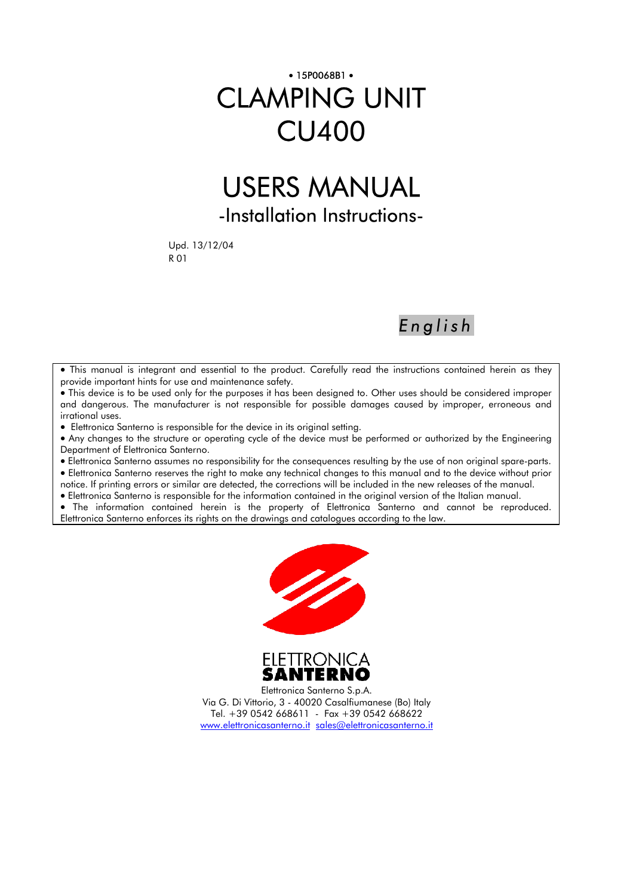# • 15P0068B1 • CLAMPING UNIT CU400

# USERS MANUAL -Installation Instructions-

Upd. 13/12/04 R 01

*English*

• This manual is integrant and essential to the product. Carefully read the instructions contained herein as they provide important hints for use and maintenance safety.

• This device is to be used only for the purposes it has been designed to. Other uses should be considered improper and dangerous. The manufacturer is not responsible for possible damages caused by improper, erroneous and irrational uses.

• Elettronica Santerno is responsible for the device in its original setting.

• Any changes to the structure or operating cycle of the device must be performed or authorized by the Engineering Department of Elettronica Santerno.

• Elettronica Santerno assumes no responsibility for the consequences resulting by the use of non original spare-parts. • Elettronica Santerno reserves the right to make any technical changes to this manual and to the device without prior

notice. If printing errors or similar are detected, the corrections will be included in the new releases of the manual.

• Elettronica Santerno is responsible for the information contained in the original version of the Italian manual.

• The information contained herein is the property of Elettronica Santerno and cannot be reproduced. Elettronica Santerno enforces its rights on the drawings and catalogues according to the law.





Elettronica Santerno S.p.A. Via G. Di Vittorio, 3 - 40020 Casalfiumanese (Bo) Italy Tel. +39 0542 668611 - Fax +39 0542 668622 www.elettronicasanterno.it sales@elettronicasanterno.it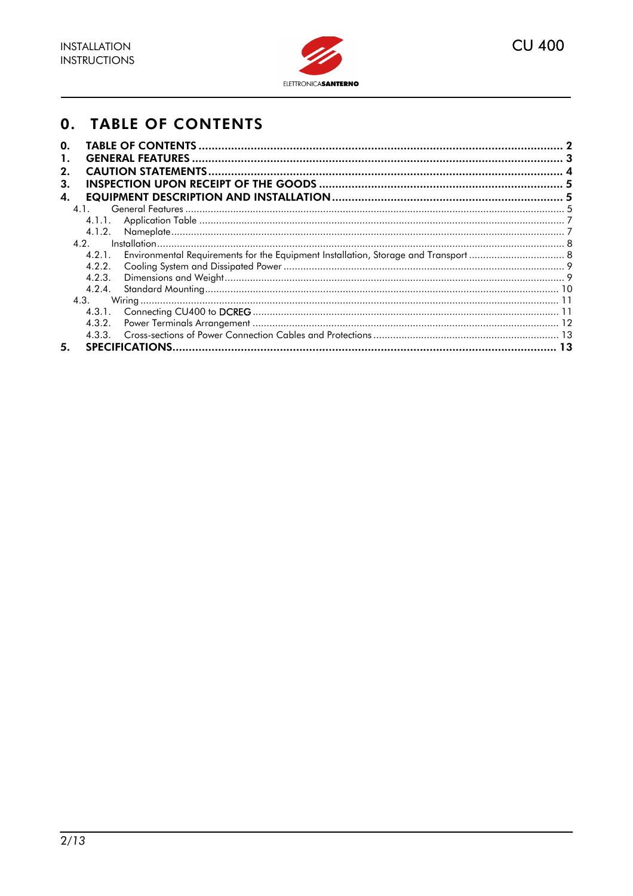

### **0. TABLE OF CONTENTS**

| 0.     |  |
|--------|--|
| 1.     |  |
| 2.     |  |
| 3.     |  |
| 4.     |  |
| 4.1.   |  |
| 4.1.1. |  |
| 4.1.2. |  |
| 4.2.   |  |
| 4.2.1. |  |
| 4.2.2. |  |
| 4.2.3. |  |
| 4.2.4. |  |
| 4.3.   |  |
| 4.3.1. |  |
| 4.3.2. |  |
| 4.3.3. |  |
| 5.     |  |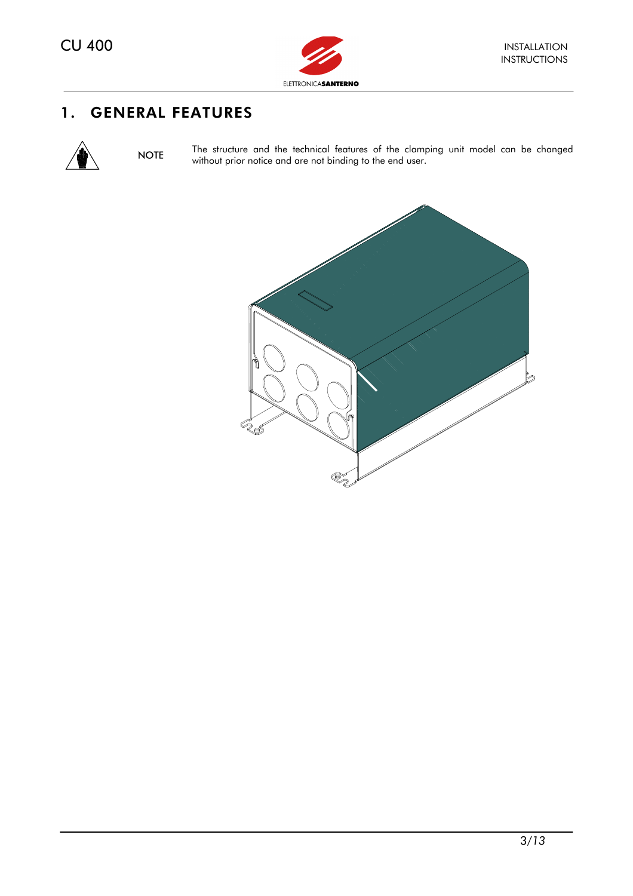

## 1. GENERAL FEATURES



NOTE The structure and the technical features of the clamping unit model can be changed without prior notice and are not binding to the end user.

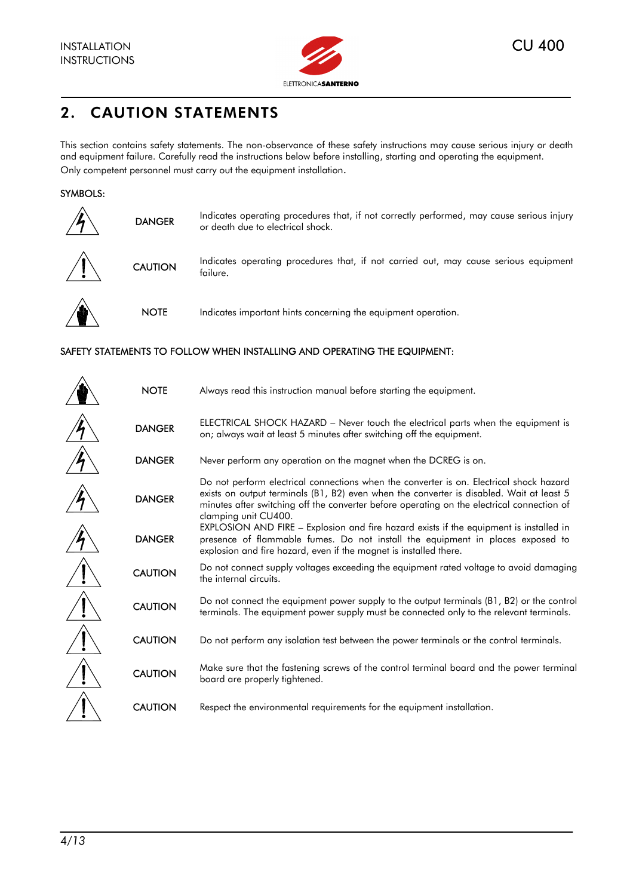

# 2. CAUTION STATEMENTS

This section contains safety statements. The non-observance of these safety instructions may cause serious injury or death and equipment failure. Carefully read the instructions below before installing, starting and operating the equipment. Only competent personnel must carry out the equipment installation.

#### SYMBOLS:

| <b>DANGER</b>  | Indicates operating procedures that, if not correctly performed, may cause serious injury<br>or death due to electrical shock. |
|----------------|--------------------------------------------------------------------------------------------------------------------------------|
| <b>CAUTION</b> | Indicates operating procedures that, if not carried out, may cause serious equipment<br>failure.                               |
| <b>NOTE</b>    | Indicates important hints concerning the equipment operation.                                                                  |

#### SAFETY STATEMENTS TO FOLLOW WHEN INSTALLING AND OPERATING THE EQUIPMENT:

| <b>NOTE</b>    | Always read this instruction manual before starting the equipment.                                                                                                                                                                                                                                        |
|----------------|-----------------------------------------------------------------------------------------------------------------------------------------------------------------------------------------------------------------------------------------------------------------------------------------------------------|
| <b>DANGER</b>  | ELECTRICAL SHOCK HAZARD – Never touch the electrical parts when the equipment is<br>on; always wait at least 5 minutes after switching off the equipment.                                                                                                                                                 |
| <b>DANGER</b>  | Never perform any operation on the magnet when the DCREG is on.                                                                                                                                                                                                                                           |
| <b>DANGER</b>  | Do not perform electrical connections when the converter is on. Electrical shock hazard<br>exists on output terminals (B1, B2) even when the converter is disabled. Wait at least 5<br>minutes after switching off the converter before operating on the electrical connection of<br>clamping unit CU400. |
| <b>DANGER</b>  | EXPLOSION AND FIRE – Explosion and fire hazard exists if the equipment is installed in<br>presence of flammable fumes. Do not install the equipment in places exposed to<br>explosion and fire hazard, even if the magnet is installed there.                                                             |
| <b>CAUTION</b> | Do not connect supply voltages exceeding the equipment rated voltage to avoid damaging<br>the internal circuits.                                                                                                                                                                                          |
| <b>CAUTION</b> | Do not connect the equipment power supply to the output terminals (B1, B2) or the control<br>terminals. The equipment power supply must be connected only to the relevant terminals.                                                                                                                      |
| <b>CAUTION</b> | Do not perform any isolation test between the power terminals or the control terminals.                                                                                                                                                                                                                   |
| <b>CAUTION</b> | Make sure that the fastening screws of the control terminal board and the power terminal<br>board are properly tightened.                                                                                                                                                                                 |
| <b>CAUTION</b> | Respect the environmental requirements for the equipment installation.                                                                                                                                                                                                                                    |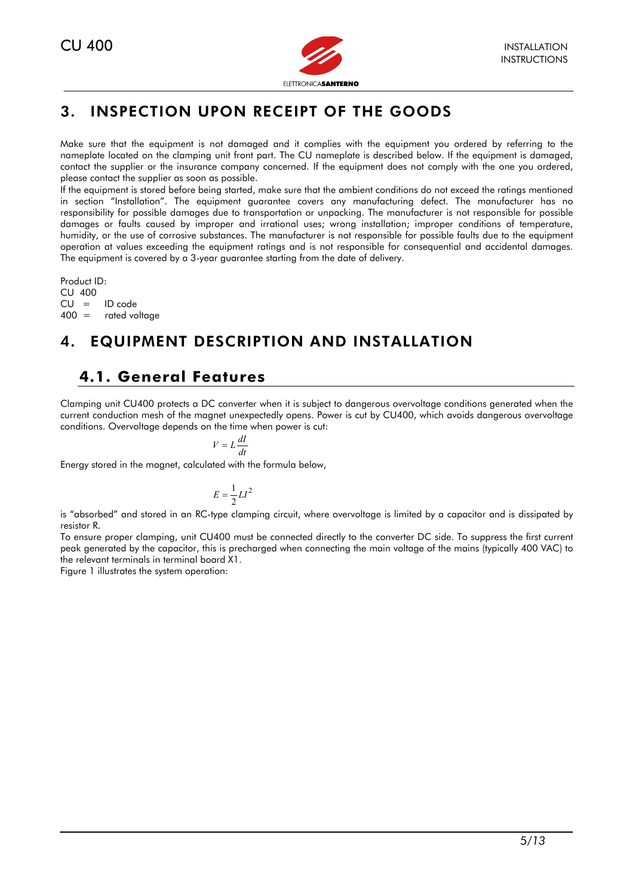

# 3. INSPECTION UPON RECEIPT OF THE GOODS

Make sure that the equipment is not damaged and it complies with the equipment you ordered by referring to the nameplate located on the clamping unit front part. The CU nameplate is described below. If the equipment is damaged, contact the supplier or the insurance company concerned. If the equipment does not comply with the one you ordered, please contact the supplier as soon as possible.

If the equipment is stored before being started, make sure that the ambient conditions do not exceed the ratings mentioned in section "Installation". The equipment guarantee covers any manufacturing defect. The manufacturer has no responsibility for possible damages due to transportation or unpacking. The manufacturer is not responsible for possible damages or faults caused by improper and irrational uses; wrong installation; improper conditions of temperature, humidity, or the use of corrosive substances. The manufacturer is not responsible for possible faults due to the equipment operation at values exceeding the equipment ratings and is not responsible for consequential and accidental damages. The equipment is covered by a 3-year guarantee starting from the date of delivery.

Product ID:  $CU$  400<br> $CU =$ ID code 400 = rated voltage

# 4. EQUIPMENT DESCRIPTION AND INSTALLATION

# **4.1. General Features**

Clamping unit CU400 protects a DC converter when it is subject to dangerous overvoltage conditions generated when the current conduction mesh of the magnet unexpectedly opens. Power is cut by CU400, which avoids dangerous overvoltage conditions. Overvoltage depends on the time when power is cut:

$$
V = L\frac{dl}{dt}
$$

Energy stored in the magnet, calculated with the formula below,

$$
E = \frac{1}{2}LI^2
$$

is "absorbed" and stored in an RC-type clamping circuit, where overvoltage is limited by a capacitor and is dissipated by resistor R.

To ensure proper clamping, unit CU400 must be connected directly to the converter DC side. To suppress the first current peak generated by the capacitor, this is precharged when connecting the main voltage of the mains (typically 400 VAC) to the relevant terminals in terminal board X1.

Figure 1 illustrates the system operation: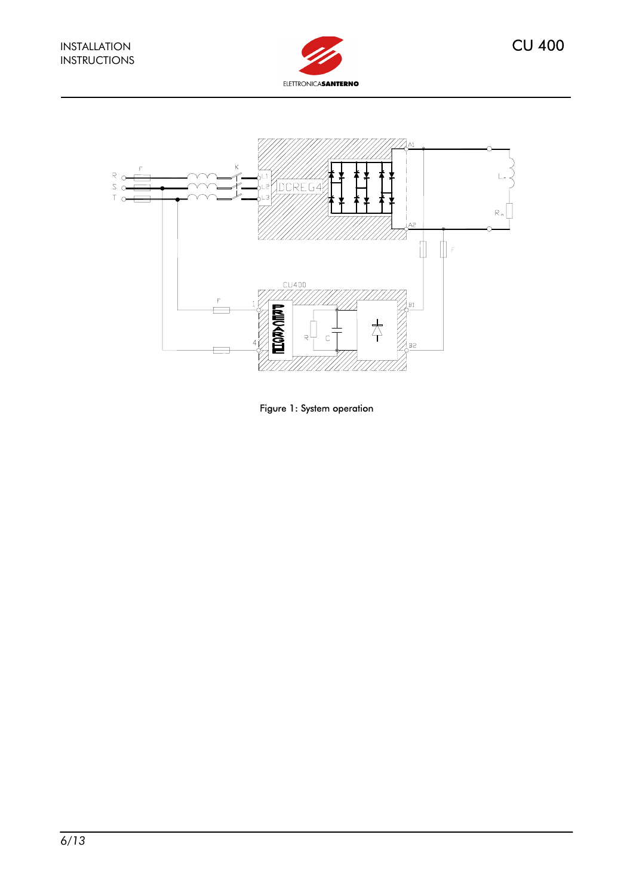



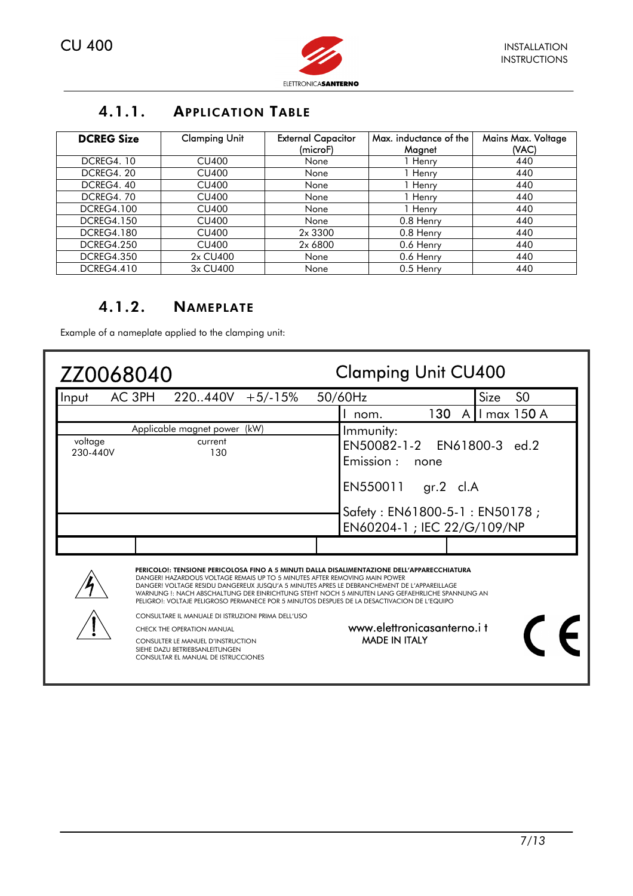

## 4.1.1. APPLICATION TABLE

| <b>DCREG Size</b> | <b>Clamping Unit</b> | <b>External Capacitor</b><br>(microF) | Max. inductance of the<br>Magnet | Mains Max. Voltage<br>(VAC) |
|-------------------|----------------------|---------------------------------------|----------------------------------|-----------------------------|
| <b>DCREG4.10</b>  | CU400                | None                                  | 1 Henry                          | 440                         |
| DCREG4, 20        | <b>CU400</b>         | None                                  | 1 Henry                          | 440                         |
| DCREG4, 40        | CU400                | None                                  | 1 Henry                          | 440                         |
| <b>DCREG4.70</b>  | CU400                | None                                  | 1 Henry                          | 440                         |
| <b>DCREG4.100</b> | <b>CU400</b>         | None                                  | 1 Henry                          | 440                         |
| <b>DCREG4.150</b> | CU400                | None                                  | 0.8 Henry                        | 440                         |
| <b>DCREG4.180</b> | CU400                | 2x 3300                               | 0.8 Henry                        | 440                         |
| <b>DCREG4.250</b> | <b>CU400</b>         | 2x 6800                               | 0.6 Henry                        | 440                         |
| <b>DCREG4.350</b> | 2x CU400             | None                                  | 0.6 Henry                        | 440                         |
| <b>DCREG4.410</b> | 3x CU400             | None                                  | 0.5 Henry                        | 440                         |

#### 4.1.2. NAMEPLATE

Example of a nameplate applied to the clamping unit:

| ZZ0068040           |                                                                                                                                                                                                                                                                                                                                                                                                                                                                                                                                                                                                                                                                                          | <b>Clamping Unit CU400</b> |                                                                                                                                                         |  |
|---------------------|------------------------------------------------------------------------------------------------------------------------------------------------------------------------------------------------------------------------------------------------------------------------------------------------------------------------------------------------------------------------------------------------------------------------------------------------------------------------------------------------------------------------------------------------------------------------------------------------------------------------------------------------------------------------------------------|----------------------------|---------------------------------------------------------------------------------------------------------------------------------------------------------|--|
| Input               | AC 3PH<br>220.440V<br>$+5/-15%$                                                                                                                                                                                                                                                                                                                                                                                                                                                                                                                                                                                                                                                          |                            | <b>Size</b><br>S <sub>0</sub><br>50/60Hz                                                                                                                |  |
|                     |                                                                                                                                                                                                                                                                                                                                                                                                                                                                                                                                                                                                                                                                                          |                            | I max 150 A<br>130<br>A<br>nom.                                                                                                                         |  |
| voltage<br>230-440V | Applicable magnet power (kW)<br>current<br>130                                                                                                                                                                                                                                                                                                                                                                                                                                                                                                                                                                                                                                           |                            | Immunity:<br>EN50082-1-2 EN61800-3 ed.2<br>Emission:<br>none<br>EN550011<br>$gr.2$ cl.A<br>Safety: EN61800-5-1: EN50178;<br>EN60204-1 ; IEC 22/G/109/NP |  |
|                     | PERICOLO!: TENSIONE PERICOLOSA FINO A 5 MINUTI DALLA DISALIMENTAZIONE DELL'APPARECCHIATURA<br>DANGER! HAZARDOUS VOLTAGE REMAIS UP TO 5 MINUTES AFTER REMOVING MAIN POWER<br>DANGER! VOLTAGE RESIDU DANGEREUX JUSQU'A 5 MINUTES APRES LE DEBRANCHEMENT DE L'APPAREILLAGE<br>WARNUNG !: NACH ABSCHALTUNG DER EINRICHTUNG STEHT NOCH 5 MINUTEN LANG GEFAEHRLICHE SPANNUNG AN<br>PELIGRO!: VOLTAJE PELIGROSO PERMANECE POR 5 MINUTOS DESPUES DE LA DESACTIVACION DE L'EQUIPO<br>CONSULTARE IL MANUALE DI ISTRUZIONI PRIMA DELL'USO<br><b>CHECK THE OPERATION MANUAL</b><br>CONSULTER LE MANUEL D'INSTRUCTION<br>SIEHE DAZU BETRIEBSANLEITUNGEN<br><b>CONSULTAR EL MANUAL DE ISTRUCCIONES</b> |                            | www.elettronicasanterno.it<br><b>MADE IN ITALY</b>                                                                                                      |  |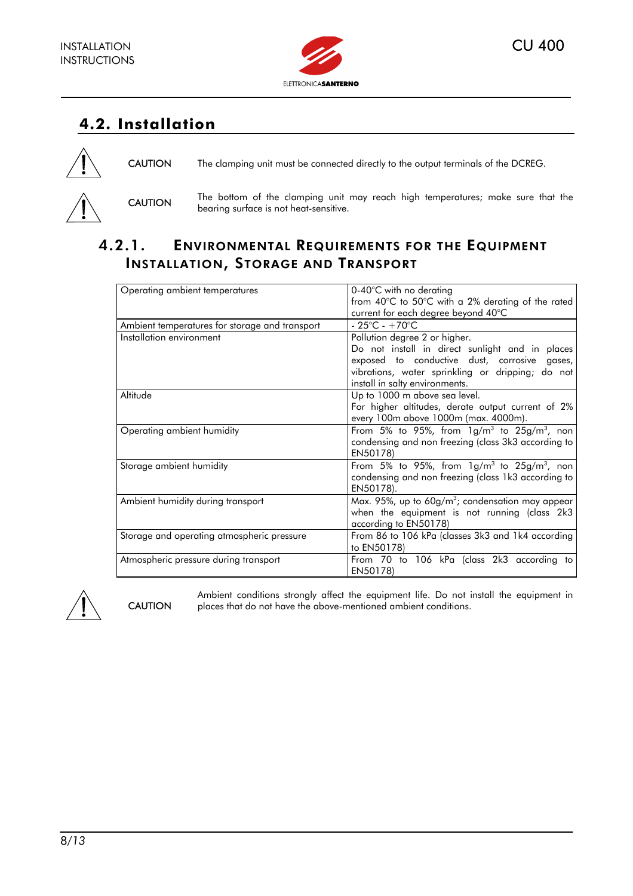

# **4.2. Installation**



CAUTION The clamping unit must be connected directly to the output terminals of the DCREG.



CAUTION The bottom of the clamping unit may reach high temperatures; make sure that the bearing surface is not heat-sensitive.

## 4.2.1. ENVIRONMENTAL REQUIREMENTS FOR THE EQUIPMENT INSTALLATION, STORAGE AND TRANSPORT

| Operating ambient temperatures                 | $0-40^{\circ}$ C with no derating                            |
|------------------------------------------------|--------------------------------------------------------------|
|                                                | from 40°C to 50°C with a 2% derating of the rated            |
|                                                | current for each degree beyond 40°C                          |
| Ambient temperatures for storage and transport | $-25^{\circ}$ C - $+70^{\circ}$ C                            |
| Installation environment                       | Pollution degree 2 or higher.                                |
|                                                | Do not install in direct sunlight and in places              |
|                                                | exposed to conductive dust, corrosive gases,                 |
|                                                | vibrations, water sprinkling or dripping; do not             |
|                                                | install in salty environments.                               |
| Altitude                                       | Up to 1000 m above sea level.                                |
|                                                | For higher altitudes, derate output current of 2%            |
|                                                | every 100m above 1000m (max. 4000m).                         |
| Operating ambient humidity                     | From 5% to 95%, from $1g/m^3$ to 25g/m <sup>3</sup> , non    |
|                                                | condensing and non freezing (class 3k3 according to          |
|                                                | EN50178)                                                     |
| Storage ambient humidity                       | From 5% to 95%, from $1g/m^3$ to 25g/m <sup>3</sup> , non    |
|                                                | condensing and non freezing (class 1k3 according to          |
|                                                | EN50178).                                                    |
| Ambient humidity during transport              | Max. 95%, up to 60g/m <sup>3</sup> ; condensation may appear |
|                                                | when the equipment is not running (class 2k3                 |
|                                                | according to EN50178)                                        |
| Storage and operating atmospheric pressure     | From 86 to 106 kPa (classes 3k3 and 1k4 according            |
|                                                | to EN50178)                                                  |
| Atmospheric pressure during transport          | From 70 to 106 kPa (class 2k3 according to                   |
|                                                | EN50178)                                                     |



**CAUTION** 

Ambient conditions strongly affect the equipment life. Do not install the equipment in places that do not have the above-mentioned ambient conditions.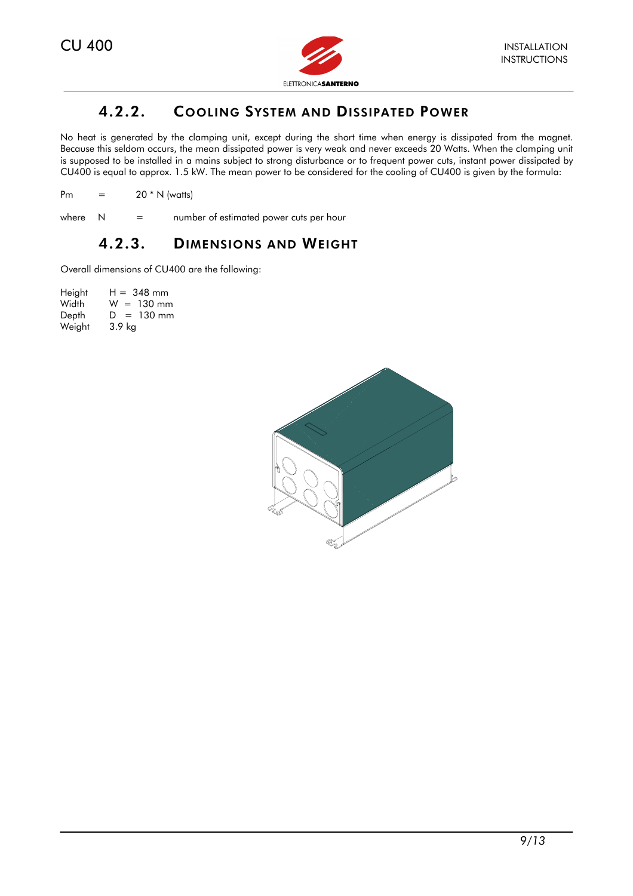

### 4.2.2. COOLING SYSTEM AND DISSIPATED POWER

No heat is generated by the clamping unit, except during the short time when energy is dissipated from the magnet. Because this seldom occurs, the mean dissipated power is very weak and never exceeds 20 Watts. When the clamping unit is supposed to be installed in a mains subject to strong disturbance or to frequent power cuts, instant power dissipated by CU400 is equal to approx. 1.5 kW. The mean power to be considered for the cooling of CU400 is given by the formula:

Pm  $=$  20  $*$  N (watts)

#### where  $N =$  number of estimated power cuts per hour

#### 4.2.3. DIMENSIONS AND WEIGHT

Overall dimensions of CU400 are the following:

| Height | $H = 348$ mm      |
|--------|-------------------|
| Width  | $W = 130$ mm      |
| Depth  | $= 130$ mm<br>D.  |
| Weight | 3.9 <sub>kg</sub> |

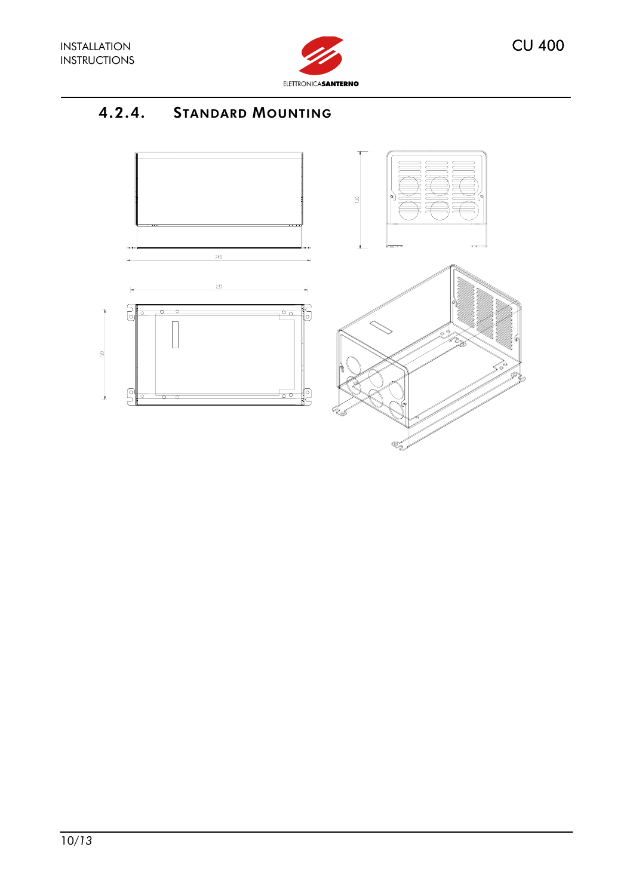

# 4.2.4. STANDARD MOUNTING





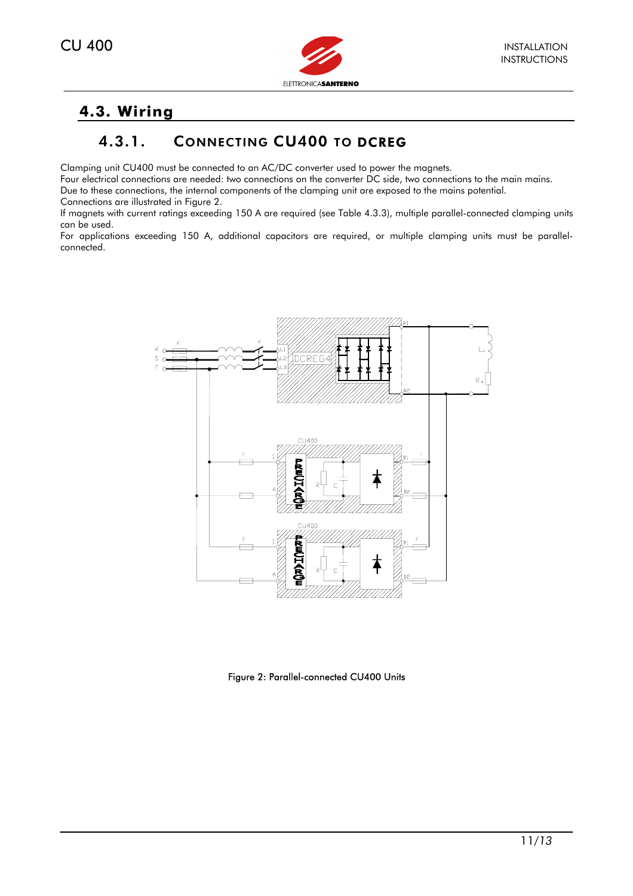

# **4.3. Wiring**

# 4.3.1. CONNECTING CU400 TO DCREG

Clamping unit CU400 must be connected to an AC/DC converter used to power the magnets.

Four electrical connections are needed: two connections on the converter DC side, two connections to the main mains.

Due to these connections, the internal components of the clamping unit are exposed to the mains potential.

Connections are illustrated in Figure 2.

If magnets with current ratings exceeding 150 A are required (see Table 4.3.3), multiple parallel-connected clamping units can be used.

For applications exceeding 150 A, additional capacitors are required, or multiple clamping units must be parallelconnected.



Figure 2: Parallel-connected CU400 Units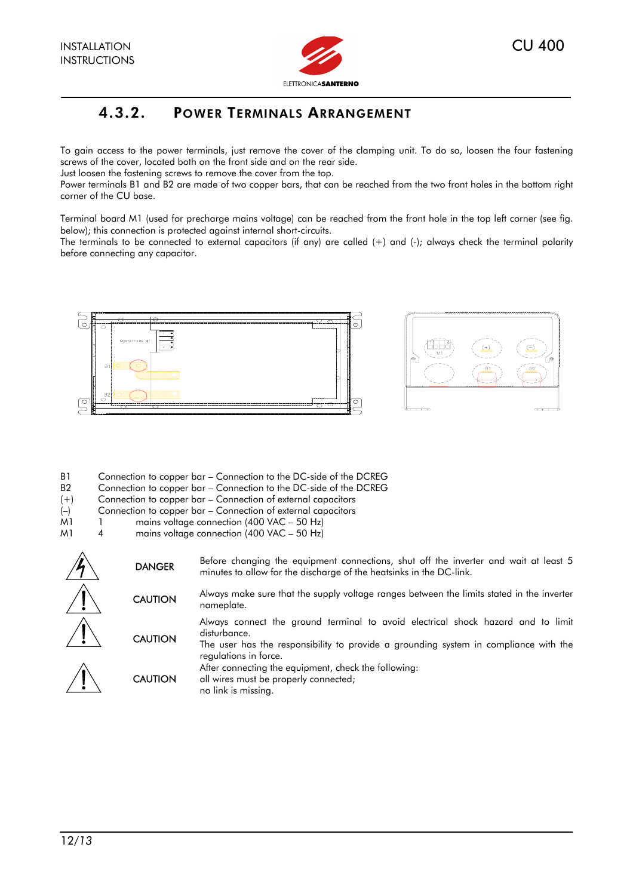

### 4.3.2. POWER TERMINALS ARRANGEMENT

To gain access to the power terminals, just remove the cover of the clamping unit. To do so, loosen the four fastening screws of the cover, located both on the front side and on the rear side.

Just loosen the fastening screws to remove the cover from the top.

Power terminals B1 and B2 are made of two copper bars, that can be reached from the two front holes in the bottom right corner of the CU base.

Terminal board M1 (used for precharge mains voltage) can be reached from the front hole in the top left corner (see fig. below); this connection is protected against internal short-circuits.

The terminals to be connected to external capacitors (if any) are called (+) and (-); always check the terminal polarity before connecting any capacitor.





- B1 Connection to copper bar Connection to the DC-side of the DCREG
- B2 Connection to copper bar Connection to the DC-side of the DCREG
- (+) Connection to copper bar Connection of external capacitors
- (–) Connection to copper bar Connection of external capacitors
- M<sub>1</sub> 1 mains voltage connection (400 VAC 50 Hz)
- M1 4 mains voltage connection (400 VAC 50 Hz)

| <b>DANGER</b>  | Before changing the equipment connections, shut off the inverter and wait at least 5<br>minutes to allow for the discharge of the heatsinks in the DC-link.                                                       |
|----------------|-------------------------------------------------------------------------------------------------------------------------------------------------------------------------------------------------------------------|
| <b>CAUTION</b> | Always make sure that the supply voltage ranges between the limits stated in the inverter<br>nameplate.                                                                                                           |
| <b>CAUTION</b> | Always connect the ground terminal to avoid electrical shock hazard and to limit<br>disturbance.<br>The user has the responsibility to provide a grounding system in compliance with the<br>regulations in force. |
| <b>CAUTION</b> | After connecting the equipment, check the following:<br>all wires must be properly connected;<br>no link is missing.                                                                                              |